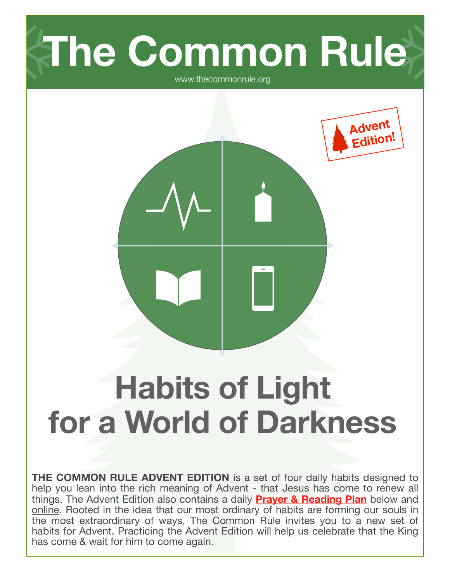

www.thecommonrule.org

**Advent Edition!**



**THE COMMON RULE ADVENT EDITION** is a set of four daily habits designed to help you lean into the rich meaning of Advent - that Jesus has come to renew all things. The Advent Edition also contains a daily **Prayer & Reading Plan** below and [online.](https://www.thecommonrule.org/advent-readings) Rooted in the idea that our most ordinary of habits are forming our souls in the most extraordinary of ways, The Common Rule invites you to a new set of habits for Advent. Practicing the Advent Edition will help us celebrate that the King has come & wait for him to come again.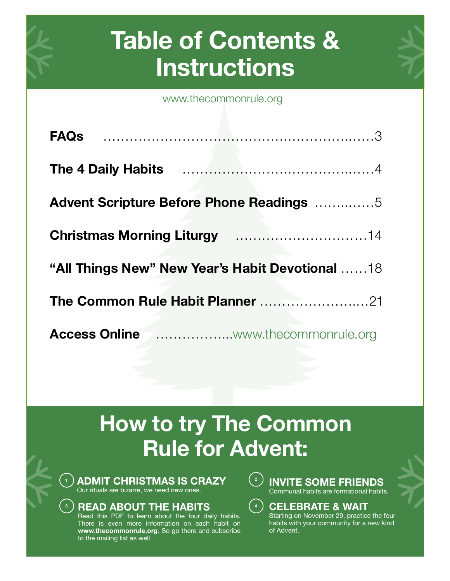# **Table of Contents & Instructions**

[www.thecommonrule.org](http://www.thecommonrule.org)

| <b>Advent Scripture Before Phone Readings 5</b> |
|-------------------------------------------------|
| <b>Christmas Morning Liturgy 14</b>             |
| "All Things New" New Year's Habit Devotional 18 |
| The Common Rule Habit Planner 21                |
|                                                 |

# **How to try The Common Rule for Advent:**

 $\left( \begin{array}{c} 4 \end{array} \right)$ 

 $\binom{2}{2}$ 

**ADMIT CHRISTMAS IS CRAZY**  Our rituals are bizarre, we need new ones.

## **READ ABOUT THE HABITS**

3

1

Read this PDF to learn about the four daily habits. There is even more information on each habit on **[www.thecommonrule.org](http://www.thecommonrule.org)**. So go there and subscribe to the mailing list as well.



## **CELEBRATE & WAIT**

Starting on November 29, practice the four habits with your community for a new kind of Advent.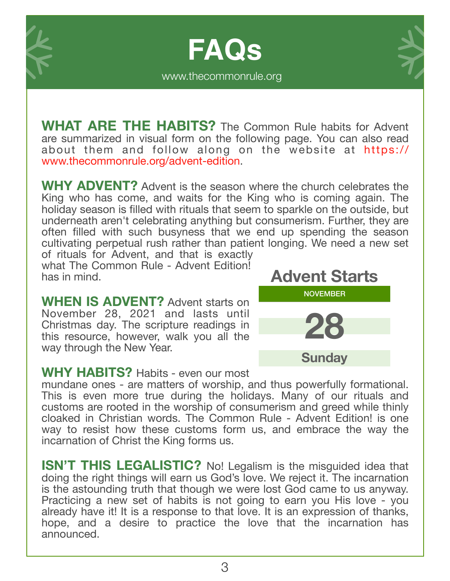**FAQs** [www.thecommonrule.org](http://www.thecommonrule.org)



**WHAT ARE THE HABITS?** The Common Rule habits for Advent are summarized in visual form on the following page. You can also read about them and follow along on the website at [https://](https://www.thecommonrule.org/advent-edition) [www.thecommonrule.org/advent-edition.](https://www.thecommonrule.org/advent-edition)

**WHY ADVENT?** Advent is the season where the church celebrates the King who has come, and waits for the King who is coming again. The holiday season is filled with rituals that seem to sparkle on the outside, but underneath aren't celebrating anything but consumerism. Further, they are often filled with such busyness that we end up spending the season cultivating perpetual rush rather than patient longing. We need a new set of rituals for Advent, and that is exactly

what The Common Rule - Advent Edition! has in mind.

**WHEN IS ADVENT?** Advent starts on November 28, 2021 and lasts until Christmas day. The scripture readings in this resource, however, walk you all the way through the New Year.



## **WHY HABITS?** Habits - even our most

mundane ones - are matters of worship, and thus powerfully formational. This is even more true during the holidays. Many of our rituals and customs are rooted in the worship of consumerism and greed while thinly cloaked in Christian words. The Common Rule - Advent Edition! is one way to resist how these customs form us, and embrace the way the incarnation of Christ the King forms us.

**ISN'T THIS LEGALISTIC?** No! Legalism is the misguided idea that doing the right things will earn us God's love. We reject it. The incarnation is the astounding truth that though we were lost God came to us anyway. Practicing a new set of habits is not going to earn you His love - you already have it! It is a response to that love. It is an expression of thanks, hope, and a desire to practice the love that the incarnation has announced.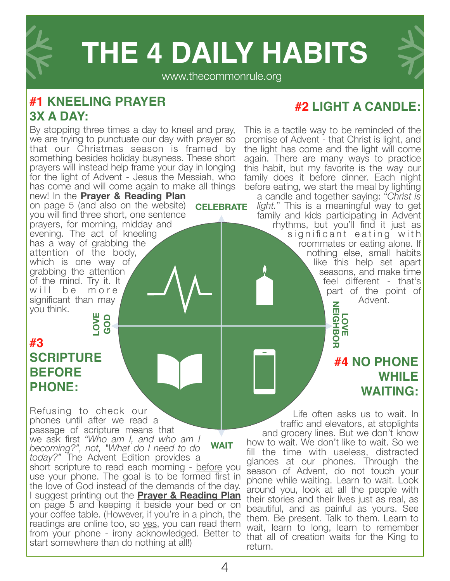

# **[THE 4 DAILY HABITS](https://www.thecommonrule.org/explore-the-advent-edition)**

#### [www.thecommonrule.org](http://www.thecommonrule.org)

**CELEBRATE**

# **#1 [KNEELING PRAYER](https://www.thecommonrule.org/advent-pray) [3X A DAY:](https://www.thecommonrule.org/advent-pray)**

By stopping three times a day to kneel and pray, we are trying to punctuate our day with prayer so that our Christmas season is framed by something besides holiday busyness. These short prayers will instead help frame your day in longing for the light of Advent - Jesus the Messiah, who has come and will come again to make all things

new! In the **Prayer & Reading Plan** on page 5 (and also on the website) you will find three short, one sentence prayers, for morning, midday and evening. The act of kneeling has a way of grabbing the attention of the body, which is one way of grabbing the attention of the mind. Try it. It will be more significant than may you think.

# **#3 [SCRIPTURE](https://www.thecommonrule.org/advent-scripture-before-phone)  [BEFORE](https://www.thecommonrule.org/advent-scripture-before-phone) [PHONE:](https://www.thecommonrule.org/advent-scripture-before-phone) LOVE GOD**

Refusing to check our phones until after we read a passage of scripture means that we ask first *"Who am I, and who am I becoming?", not, "What do I need to do today?"* The Advent Edition provides a short scripture to read each morning - before you use your phone. The goal is to be formed first in the love of God instead of the demands of the day. I suggest printing out the **Prayer & Reading Plan** on page 5 and keeping it beside your bed or on your coffee table. (However, if you're in a pinch, the readings are online too, so yes, you can read them from your phone - irony acknowledged. Better to start somewhere than do nothing at all!) **WAIT**

## **#2 [LIGHT A CANDLE](https://www.thecommonrule.org/advent-be-a-regular):**

This is a tactile way to be reminded of the promise of Advent - that Christ is light, and the light has come and the light will come again. There are many ways to practice this habit, but my favorite is the way our family does it before dinner. Each night before eating, we start the meal by lighting

a candle and together saying: "*Christ is light.*" This is a meaningful way to get family and kids participating in Advent

rhythms, but you'll find it just as significant eating with roommates or eating alone. If nothing else, small habits like this help set apart seasons, and make time feel different - that's part of the point of Advent.

LOVE<br>NEIGHBOR **NEIGHBOR** 

# **#4 [NO PHONE](https://www.thecommonrule.org/advent-no-phone-while-waiting)  [WHILE](https://www.thecommonrule.org/advent-no-phone-while-waiting)  [WAITING](https://www.thecommonrule.org/advent-no-phone-while-waiting):**

Life often asks us to wait. In traffic and elevators, at stoplights and grocery lines. But we don't know how to wait. We don't like to wait. So we fill the time with useless, distracted glances at our phones. Through the season of Advent, do not touch your phone while waiting. Learn to wait. Look around you, look at all the people with their stories and their lives just as real, as beautiful, and as painful as yours. See them. Be present. Talk to them. Learn to wait, learn to long, learn to remember that all of creation waits for the King to return.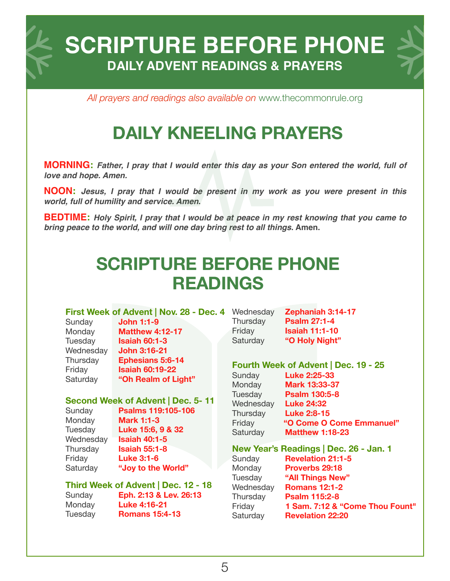**SCRIPTURE BEFORE PHONE DAILY ADVENT READINGS & PRAYERS**

*All prayers and readings also available on* [www.thecommonrule.org](http://www.thecommonrule.org)

# **[DAILY KNEELING PRAYERS](https://www.thecommonrule.org/advent-pray)**

**MORNING:** *Father, I pray that I would enter this day as your Son entered the world, full of love and hope. Amen.* 

**NOON:** *Jesus, I pray that I would be present in my work as you were present in this world, full of humility and service. Amen***.** 

**BEDTIME:** *Holy Spirit, I pray that I would be at peace in my rest knowing that you came to bring peace to the world, and will one day bring rest to all things***. Amen.**

# **[SCRIPTURE BEFORE PHONE](https://www.thecommonrule.org/advent-readings)  [READINGS](https://www.thecommonrule.org/advent-readings)**

#### **First Week of Advent | Nov. 28 - Dec. 4** Wednesday

| Sunday    |
|-----------|
| Monday    |
| Tuesday   |
| Wednesday |
| Thursday  |
| Friday    |
| Saturday  |
|           |

Sunday **John 1:1-9 Matthew 4:12-17 Isaiah 60:1-3** Wednesday **John 3:16-21 Ephesians 5:6-14 Isaiah 60:19-22** "Oh Realm of Light"

#### **Second Week of Advent | Dec. 5- 11**

Sunday **Psalms 119:105-106** Monday **Mark 1:1-3** Tuesday **Luke 15:6, 9 & 32** Wednesday **Isaiah 40:1-5** Thursday **Isaiah 55:1-8** Friday **Luke 3:1-6** Saturday **"Joy to the World"**

**Third Week of Advent | Dec. 12 - 18**  Sunday **Eph. 2:13 & Lev. 26:13** Monday **Luke 4:16-21** Tuesday **Romans 15:4-13**

**Zephaniah 3:14-17** Thursday **Psalm 27:1-4** Friday **Isaiah 11:1-10** Saturday **"O Holy Night"**

#### **Fourth Week of Advent | Dec. 19 - 25**

| $1 \text{ cm}$ in weak of Auventy Bed. To Eq. |                          |
|-----------------------------------------------|--------------------------|
| Sunday                                        | <b>Luke 2:25-33</b>      |
| Monday                                        | Mark 13:33-37            |
| Tuesday                                       | <b>Psalm 130:5-8</b>     |
| Wednesday                                     | <b>Luke 24:32</b>        |
| Thursday                                      | <b>Luke 2:8-15</b>       |
| Friday                                        | "O Come O Come Emmanuel" |
| Saturday                                      | <b>Matthew 1:18-23</b>   |
|                                               |                          |

#### **New Year's Readings | Dec. 26 - Jan. 1**

Sunday **Revelation 21:1-5**  Monday **Proverbs 29:18** Tuesday **"All Things New"** Wednesday **Romans 12:1-2** Thursday **Psalm 115:2-8** Friday **1 Sam. 7:12 & "Come Thou Fount"**  Saturday **Revelation 22:20**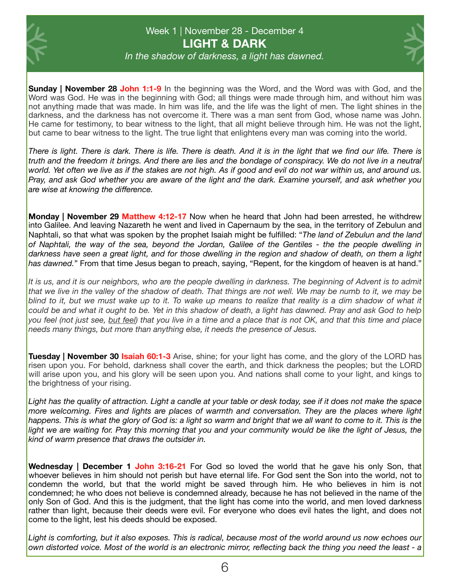

### Week 1 | November 28 - December 4 **LIGHT & DARK**

*In the shadow of darkness, a light has dawned.*

**Sunday | November 28 John 1:1-9** In the beginning was the Word, and the Word was with God, and the Word was God. He was in the beginning with God; all things were made through him, and without him was not anything made that was made. In him was life, and the life was the light of men. The light shines in the darkness, and the darkness has not overcome it. There was a man sent from God, whose name was John. He came for testimony, to bear witness to the light, that all might believe through him. He was not the light, but came to bear witness to the light. The true light that enlightens every man was coming into the world.

*There is light. There is dark. There is life. There is death. And it is in the light that we find our life. There is truth and the freedom it brings. And there are lies and the bondage of conspiracy. We do not live in a neutral world. Yet often we live as if the stakes are not high. As if good and evil do not war within us, and around us. Pray, and ask God whether you are aware of the light and the dark. Examine yourself, and ask whether you are wise at knowing the difference.* 

**Monday | November 29 Matthew 4:12-17** Now when he heard that John had been arrested, he withdrew into Galilee. And leaving Nazareth he went and lived in Capernaum by the sea, in the territory of Zebulun and Naphtali, so that what was spoken by the prophet Isaiah might be fulfilled: "*The land of Zebulun and the land of Naphtali, the way of the sea, beyond the Jordan, Galilee of the Gentiles - the the people dwelling in darkness have seen a great light, and for those dwelling in the region and shadow of death, on them a light has dawned.*" From that time Jesus began to preach, saying, "Repent, for the kingdom of heaven is at hand."

It is us, and it is our neighbors, who are the people dwelling in darkness. The beginning of Advent is to admit *that we live in the valley of the shadow of death. That things are not well. We may be numb to it, we may be blind to it, but we must wake up to it. To wake up means to realize that reality is a dim shadow of what it could be and what it ought to be. Yet in this shadow of death, a light has dawned. Pray and ask God to help you feel (not just see, but feel) that you live in a time and a place that is not OK, and that this time and place needs many things, but more than anything else, it needs the presence of Jesus.*

**Tuesday | November 30 Isaiah 60:1-3** Arise, shine; for your light has come, and the glory of the LORD has risen upon you. For behold, darkness shall cover the earth, and thick darkness the peoples; but the LORD will arise upon you, and his glory will be seen upon you. And nations shall come to your light, and kings to the brightness of your rising.

*Light has the quality of attraction. Light a candle at your table or desk today, see if it does not make the space more welcoming. Fires and lights are places of warmth and conversation. They are the places where light*  happens. This is what the glory of God is: a light so warm and bright that we all want to come to it. This is the *light we are waiting for. Pray this morning that you and your community would be like the light of Jesus, the kind of warm presence that draws the outsider in.* 

**Wednesday | December 1 John 3:16-21** For God so loved the world that he gave his only Son, that whoever believes in him should not perish but have eternal life. For God sent the Son into the world, not to condemn the world, but that the world might be saved through him. He who believes in him is not condemned; he who does not believe is condemned already, because he has not believed in the name of the only Son of God. And this is the judgment, that the light has come into the world, and men loved darkness rather than light, because their deeds were evil. For everyone who does evil hates the light, and does not come to the light, lest his deeds should be exposed.

*Light is comforting, but it also exposes. This is radical, because most of the world around us now echoes our own distorted voice. Most of the world is an electronic mirror, reflecting back the thing you need the least - a*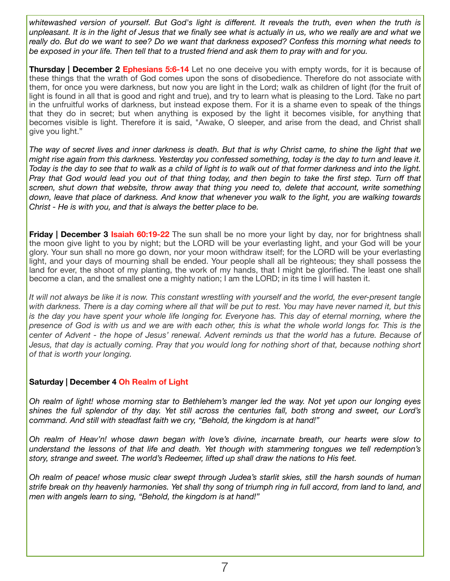*whitewashed version of yourself. But God's light is different. It reveals the truth, even when the truth is unpleasant. It is in the light of Jesus that we finally see what is actually in us, who we really are and what we really do. But do we want to see? Do we want that darkness exposed? Confess this morning what needs to be exposed in your life. Then tell that to a trusted friend and ask them to pray with and for you.*

**Thursday | December 2 Ephesians 5:6-14** Let no one deceive you with empty words, for it is because of these things that the wrath of God comes upon the sons of disobedience. Therefore do not associate with them, for once you were darkness, but now you are light in the Lord; walk as children of light (for the fruit of light is found in all that is good and right and true), and try to learn what is pleasing to the Lord. Take no part in the unfruitful works of darkness, but instead expose them. For it is a shame even to speak of the things that they do in secret; but when anything is exposed by the light it becomes visible, for anything that becomes visible is light. Therefore it is said, "Awake, O sleeper, and arise from the dead, and Christ shall give you light."

*The way of secret lives and inner darkness is death. But that is why Christ came, to shine the light that we might rise again from this darkness. Yesterday you confessed something, today is the day to turn and leave it. Today is the day to see that to walk as a child of light is to walk out of that former darkness and into the light. Pray that God would lead you out of that thing today, and then begin to take the first step. Turn off that screen, shut down that website, throw away that thing you need to, delete that account, write something down, leave that place of darkness. And know that whenever you walk to the light, you are walking towards Christ - He is with you, and that is always the better place to be.* 

**Friday | December 3 Isaiah 60:19-22** The sun shall be no more your light by day, nor for brightness shall the moon give light to you by night; but the LORD will be your everlasting light, and your God will be your glory. Your sun shall no more go down, nor your moon withdraw itself; for the LORD will be your everlasting light, and your days of mourning shall be ended. Your people shall all be righteous; they shall possess the land for ever, the shoot of my planting, the work of my hands, that I might be glorified. The least one shall become a clan, and the smallest one a mighty nation; I am the LORD; in its time I will hasten it.

It will not always be like it is now. This constant wrestling with yourself and the world, the ever-present tangle *with darkness. There is a day coming where all that will be put to rest. You may have never named it, but this*  is the day you have spent your whole life longing for. Everyone has. This day of eternal morning, where the *presence of God is with us and we are with each other, this is what the whole world longs for. This is the center of Advent - the hope of Jesus' renewal. Advent reminds us that the world has a future. Because of Jesus, that day is actually coming. Pray that you would long for nothing short of that, because nothing short of that is worth your longing.* 

#### **Saturday | December 4 Oh Realm of Light**

*Oh realm of light! whose morning star to Bethlehem's manger led the way. Not yet upon our longing eyes shines the full splendor of thy day. Yet still across the centuries fall, both strong and sweet, our Lord's command. And still with steadfast faith we cry, "Behold, the kingdom is at hand!"* 

*Oh realm of Heav'n! whose dawn began with love's divine, incarnate breath, our hearts were slow to understand the lessons of that life and death. Yet though with stammering tongues we tell redemption's story, strange and sweet. The world's Redeemer, lifted up shall draw the nations to His feet.* 

*Oh realm of peace! whose music clear swept through Judea's starlit skies, still the harsh sounds of human strife break on thy heavenly harmonies. Yet shall thy song of triumph ring in full accord, from land to land, and men with angels learn to sing, "Behold, the kingdom is at hand!"*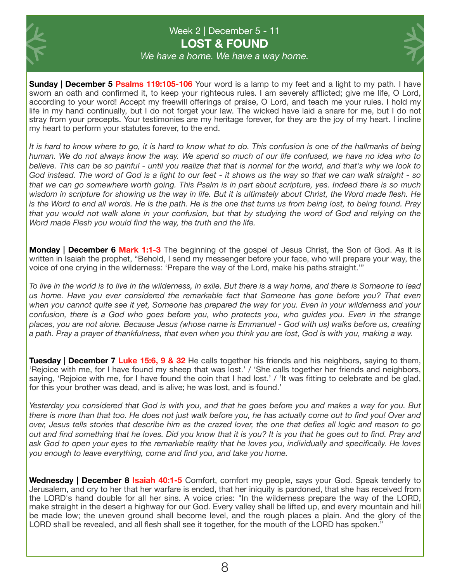

### Week 2 | December 5 - 11 **LOST & FOUND**



*We have a home. We have a way home.*

**Sunday | December 5 Psalms 119:105-106** Your word is a lamp to my feet and a light to my path. I have sworn an oath and confirmed it, to keep your righteous rules. I am severely afflicted; give me life, O Lord, according to your word! Accept my freewill offerings of praise, O Lord, and teach me your rules. I hold my life in my hand continually, but I do not forget your law. The wicked have laid a snare for me, but I do not stray from your precepts. Your testimonies are my heritage forever, for they are the joy of my heart. I incline my heart to perform your statutes forever, to the end.

*It is hard to know where to go, it is hard to know what to do. This confusion is one of the hallmarks of being human. We do not always know the way. We spend so much of our life confused, we have no idea who to believe. This can be so painful - until you realize that that is normal for the world, and that's why we look to God instead. The word of God is a light to our feet - it shows us the way so that we can walk straight - so that we can go somewhere worth going. This Psalm is in part about scripture, yes. Indeed there is so much wisdom in scripture for showing us the way in life. But it is ultimately about Christ, the Word made flesh. He is the Word to end all words. He is the path. He is the one that turns us from being lost, to being found. Pray that you would not walk alone in your confusion, but that by studying the word of God and relying on the Word made Flesh you would find the way, the truth and the life.* 

**Monday | December 6 Mark 1:1-3** The beginning of the gospel of Jesus Christ, the Son of God. As it is written in Isaiah the prophet, "Behold, I send my messenger before your face, who will prepare your way, the voice of one crying in the wilderness: 'Prepare the way of the Lord, make his paths straight.'"

*To live in the world is to live in the wilderness, in exile. But there is a way home, and there is Someone to lead us home. Have you ever considered the remarkable fact that Someone has gone before you? That even when you cannot quite see it yet, Someone has prepared the way for you. Even in your wilderness and your confusion, there is a God who goes before you, who protects you, who guides you. Even in the strange places, you are not alone. Because Jesus (whose name is Emmanuel - God with us) walks before us, creating a path. Pray a prayer of thankfulness, that even when you think you are lost, God is with you, making a way.*

**Tuesday | December 7 Luke 15:6, 9 & 32** He calls together his friends and his neighbors, saying to them, 'Rejoice with me, for I have found my sheep that was lost.' / 'She calls together her friends and neighbors, saying, 'Rejoice with me, for I have found the coin that I had lost.' / 'It was fitting to celebrate and be glad, for this your brother was dead, and is alive; he was lost, and is found.'

*Yesterday you considered that God is with you, and that he goes before you and makes a way for you. But there is more than that too. He does not just walk before you, he has actually come out to find you! Over and over, Jesus tells stories that describe him as the crazed lover, the one that defies all logic and reason to go out and find something that he loves. Did you know that it is you? It is you that he goes out to find. Pray and ask God to open your eyes to the remarkable reality that he loves you, individually and specifically. He loves you enough to leave everything, come and find you, and take you home.*

Wednesday | December 8 **Isaiah 40:1-5** Comfort, comfort my people, says your God. Speak tenderly to Jerusalem, and cry to her that her warfare is ended, that her iniquity is pardoned, that she has received from the LORD's hand double for all her sins. A voice cries: "In the wilderness prepare the way of the LORD, make straight in the desert a highway for our God. Every valley shall be lifted up, and every mountain and hill be made low; the uneven ground shall become level, and the rough places a plain. And the glory of the LORD shall be revealed, and all flesh shall see it together, for the mouth of the LORD has spoken."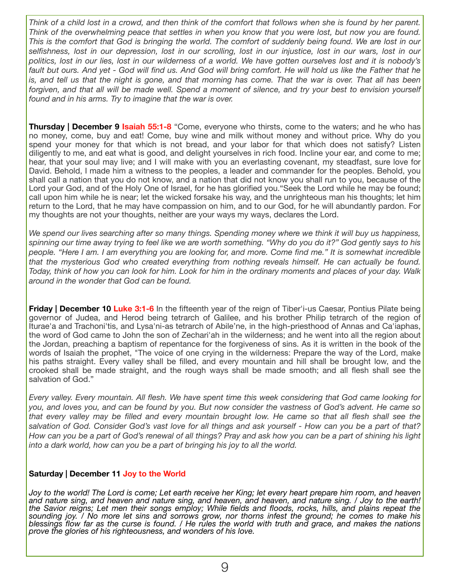*Think of a child lost in a crowd, and then think of the comfort that follows when she is found by her parent. Think of the overwhelming peace that settles in when you know that you were lost, but now you are found. This is the comfort that God is bringing the world. The comfort of suddenly being found. We are lost in our selfishness, lost in our depression, lost in our scrolling, lost in our injustice, lost in our wars, lost in our politics, lost in our lies, lost in our wilderness of a world. We have gotten ourselves lost and it is nobody's*  fault but ours. And yet - God will find us. And God will bring comfort. He will hold us like the Father that he *is, and tell us that the night is gone, and that morning has come. That the war is over. That all has been forgiven, and that all will be made well. Spend a moment of silence, and try your best to envision yourself*  found and in his arms. Try to imagine that the war is over.

**Thursday | December 9 Isaiah 55:1-8** "Come, everyone who thirsts, come to the waters; and he who has no money, come, buy and eat! Come, buy wine and milk without money and without price. Why do you spend your money for that which is not bread, and your labor for that which does not satisfy? Listen diligently to me, and eat what is good, and delight yourselves in rich food. Incline your ear, and come to me; hear, that your soul may live; and I will make with you an everlasting covenant, my steadfast, sure love for David. Behold, I made him a witness to the peoples, a leader and commander for the peoples. Behold, you shall call a nation that you do not know, and a nation that did not know you shall run to you, because of the Lord your God, and of the Holy One of Israel, for he has glorified you."Seek the Lord while he may be found; call upon him while he is near; let the wicked forsake his way, and the unrighteous man his thoughts; let him return to the Lord, that he may have compassion on him, and to our God, for he will abundantly pardon. For my thoughts are not your thoughts, neither are your ways my ways, declares the Lord.

*We spend our lives searching after so many things. Spending money where we think it will buy us happiness, spinning our time away trying to feel like we are worth something. "Why do you do it?" God gently says to his people. "Here I am. I am everything you are looking for, and more. Come find me." It is somewhat incredible that the mysterious God who created everything from nothing reveals himself. He can actually be found. Today, think of how you can look for him. Look for him in the ordinary moments and places of your day. Walk around in the wonder that God can be found.* 

**Friday | December 10 Luke 3:1-6** In the fifteenth year of the reign of Tiber'i-us Caesar, Pontius Pilate being governor of Judea, and Herod being tetrarch of Galilee, and his brother Philip tetrarch of the region of Iturae'a and Trachoni'tis, and Lysa'ni-as tetrarch of Abile'ne, in the high-priesthood of Annas and Ca'iaphas, the word of God came to John the son of Zechari'ah in the wilderness; and he went into all the region about the Jordan, preaching a baptism of repentance for the forgiveness of sins. As it is written in the book of the words of Isaiah the prophet, "The voice of one crying in the wilderness: Prepare the way of the Lord, make his paths straight. Every valley shall be filled, and every mountain and hill shall be brought low, and the crooked shall be made straight, and the rough ways shall be made smooth; and all flesh shall see the salvation of God."

*Every valley. Every mountain. All flesh. We have spent time this week considering that God came looking for you, and loves you, and can be found by you. But now consider the vastness of God's advent. He came so that every valley may be filled and every mountain brought low. He came so that all flesh shall see the salvation of God. Consider God's vast love for all things and ask yourself - How can you be a part of that? How can you be a part of God's renewal of all things? Pray and ask how you can be a part of shining his light into a dark world, how can you be a part of bringing his joy to all the world.* 

#### **Saturday | December 11 Joy to the World**

*Joy to the world! The Lord is come; Let earth receive her King; let every heart prepare him room, and heaven and nature sing, and heaven and nature sing, and heaven, and heaven, and nature sing. / Joy to the earth! the Savior reigns; Let men their songs employ; While fields and floods, rocks, hills, and plains repeat the sounding joy. / No more let sins and sorrows grow, nor thorns infest the ground; he comes to make his blessings flow far as the curse is found. / He rules the world with truth and grace, and makes the nations prove the glories of his righteousness, and wonders of his love.*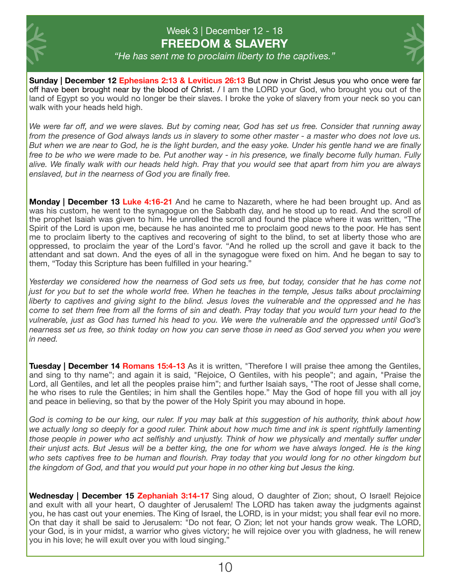

#### Week 3 | December 12 - 18 **FREEDOM & SLAVERY**



*"He has sent me to proclaim liberty to the captives."*

**Sunday | December 12 Ephesians 2:13 & Leviticus 26:13** But now in Christ Jesus you who once were far off have been brought near by the blood of Christ. / I am the LORD your God, who brought you out of the land of Egypt so you would no longer be their slaves. I broke the yoke of slavery from your neck so you can walk with your heads held high.

*We were far off, and we were slaves. But by coming near, God has set us free. Consider that running away from the presence of God always lands us in slavery to some other master - a master who does not love us. But when we are near to God, he is the light burden, and the easy yoke. Under his gentle hand we are finally free to be who we were made to be. Put another way - in his presence, we finally become fully human. Fully alive. We finally walk with our heads held high. Pray that you would see that apart from him you are always enslaved, but in the nearness of God you are finally free.*

**Monday | December 13 Luke 4:16-21** And he came to Nazareth, where he had been brought up. And as was his custom, he went to the synagogue on the Sabbath day, and he stood up to read. And the scroll of the prophet Isaiah was given to him. He unrolled the scroll and found the place where it was written, "The Spirit of the Lord is upon me, because he has anointed me to proclaim good news to the poor. He has sent me to proclaim liberty to the captives and recovering of sight to the blind, to set at liberty those who are oppressed, to proclaim the year of the Lord's favor. "And he rolled up the scroll and gave it back to the attendant and sat down. And the eyes of all in the synagogue were fixed on him. And he began to say to them, "Today this Scripture has been fulfilled in your hearing."

*Yesterday we considered how the nearness of God sets us free, but today, consider that he has come not just for you but to set the whole world free. When he teaches in the temple, Jesus talks about proclaiming liberty to captives and giving sight to the blind. Jesus loves the vulnerable and the oppressed and he has come to set them free from all the forms of sin and death. Pray today that you would turn your head to the vulnerable, just as God has turned his head to you. We were the vulnerable and the oppressed until God's nearness set us free, so think today on how you can serve those in need as God served you when you were in need.*

**Tuesday | December 14 Romans 15:4-13** As it is written, "Therefore I will praise thee among the Gentiles, and sing to thy name"; and again it is said, "Rejoice, O Gentiles, with his people"; and again, "Praise the Lord, all Gentiles, and let all the peoples praise him"; and further Isaiah says, "The root of Jesse shall come, he who rises to rule the Gentiles; in him shall the Gentiles hope." May the God of hope fill you with all joy and peace in believing, so that by the power of the Holy Spirit you may abound in hope.

*God is coming to be our king, our ruler. If you may balk at this suggestion of his authority, think about how*  we actually long so deeply for a good ruler. Think about how much time and ink is spent rightfully lamenting *those people in power who act selfishly and unjustly. Think of how we physically and mentally suffer under their unjust acts. But Jesus will be a better king, the one for whom we have always longed. He is the king who sets captives free to be human and flourish. Pray today that you would long for no other kingdom but the kingdom of God, and that you would put your hope in no other king but Jesus the king.*

**Wednesday | December 15 Zephaniah 3:14-17** Sing aloud, O daughter of Zion; shout, O Israel! Rejoice and exult with all your heart, O daughter of Jerusalem! The LORD has taken away the judgments against you, he has cast out your enemies. The King of Israel, the LORD, is in your midst; you shall fear evil no more. On that day it shall be said to Jerusalem: "Do not fear, O Zion; let not your hands grow weak. The LORD, your God, is in your midst, a warrior who gives victory; he will rejoice over you with gladness, he will renew you in his love; he will exult over you with loud singing."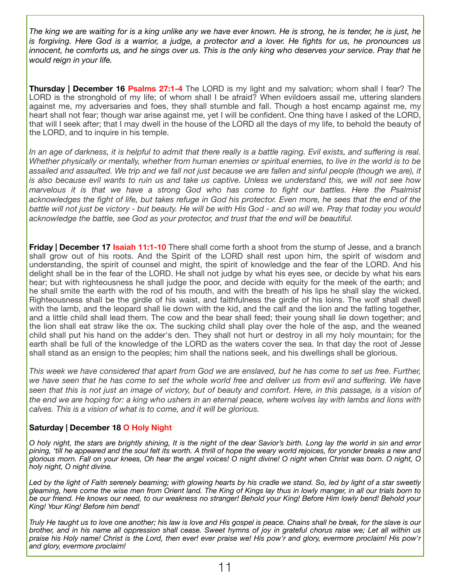*The king we are waiting for is a king unlike any we have ever known. He is strong, he is tender, he is just, he is forgiving. Here God is a warrior, a judge, a protector and a lover. He fights for us, he pronounces us innocent, he comforts us, and he sings over us. This is the only king who deserves your service. Pray that he would reign in your life.*

**Thursday | December 16 Psalms 27:1-4** The LORD is my light and my salvation; whom shall I fear? The LORD is the stronghold of my life; of whom shall I be afraid? When evildoers assail me, uttering slanders against me, my adversaries and foes, they shall stumble and fall. Though a host encamp against me, my heart shall not fear; though war arise against me, yet I will be confident. One thing have I asked of the LORD, that will I seek after; that I may dwell in the house of the LORD all the days of my life, to behold the beauty of the LORD, and to inquire in his temple.

In an age of darkness, it is helpful to admit that there really is a battle raging. Evil exists, and suffering is real. *Whether physically or mentally, whether from human enemies or spiritual enemies, to live in the world is to be assailed and assaulted. We trip and we fall not just because we are fallen and sinful people (though we are), it is also because evil wants to ruin us and take us captive. Unless we understand this, we will not see how marvelous it is that we have a strong God who has come to fight our battles. Here the Psalmist acknowledges the fight of life, but takes refuge in God his protector. Even more, he sees that the end of the battle will not just be victory - but beauty. He will be with His God - and so will we. Pray that today you would acknowledge the battle, see God as your protector, and trust that the end will be beautiful.* 

**Friday | December 17 Isaiah 11:1-10** There shall come forth a shoot from the stump of Jesse, and a branch shall grow out of his roots. And the Spirit of the LORD shall rest upon him, the spirit of wisdom and understanding, the spirit of counsel and might, the spirit of knowledge and the fear of the LORD. And his delight shall be in the fear of the LORD. He shall not judge by what his eyes see, or decide by what his ears hear; but with righteousness he shall judge the poor, and decide with equity for the meek of the earth; and he shall smite the earth with the rod of his mouth, and with the breath of his lips he shall slay the wicked. Righteousness shall be the girdle of his waist, and faithfulness the girdle of his loins. The wolf shall dwell with the lamb, and the leopard shall lie down with the kid, and the calf and the lion and the fatling together, and a little child shall lead them. The cow and the bear shall feed; their young shall lie down together; and the lion shall eat straw like the ox. The sucking child shall play over the hole of the asp, and the weaned child shall put his hand on the adder's den. They shall not hurt or destroy in all my holy mountain; for the earth shall be full of the knowledge of the LORD as the waters cover the sea. In that day the root of Jesse shall stand as an ensign to the peoples; him shall the nations seek, and his dwellings shall be glorious.

*This week we have considered that apart from God we are enslaved, but he has come to set us free. Further, we have seen that he has come to set the whole world free and deliver us from evil and suffering. We have seen that this is not just an image of victory, but of beauty and comfort. Here, in this passage, is a vision of the end we are hoping for: a king who ushers in an eternal peace, where wolves lay with lambs and lions with calves. This is a vision of what is to come, and it will be glorious.*

#### **Saturday | December 18 O Holy Night**

*O holy night, the stars are brightly shining, It is the night of the dear Savior's birth. Long lay the world in sin and error pining, 'till he appeared and the soul felt its worth. A thrill of hope the weary world rejoices, for yonder breaks a new and glorious morn. Fall on your knees, Oh hear the angel voices! O night divine! O night when Christ was born. O night, O holy night, O night divine.* 

*Led by the light of Faith serenely beaming; with glowing hearts by his cradle we stand. So, led by light of a star sweetly gleaming, here come the wise men from Orient land. The King of Kings lay thus in lowly manger, in all our trials born to be our friend. He knows our need, to our weakness no stranger! Behold your King! Before Him lowly bend! Behold your King! Your King! Before him bend!* 

*Truly He taught us to love one another; his law is love and His gospel is peace. Chains shall he break, for the slave is our brother, and in his name all oppression shall cease. Sweet hymns of joy in grateful chorus raise we; Let all within us praise his Holy name! Christ is the Lord, then ever! ever praise we! His pow'r and glory, evermore proclaim! His pow'r and glory, evermore proclaim!*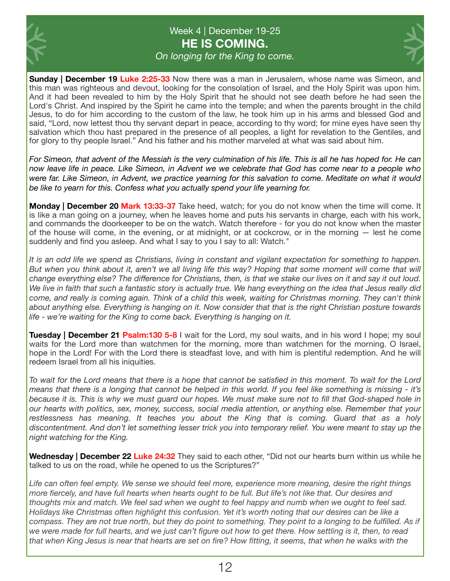

# Week 4 | December 19-25 **HE IS COMING.**

*On longing for the King to come.* 



**Sunday | December 19 Luke 2:25-33** Now there was a man in Jerusalem, whose name was Simeon, and this man was righteous and devout, looking for the consolation of Israel, and the Holy Spirit was upon him. And it had been revealed to him by the Holy Spirit that he should not see death before he had seen the Lord's Christ. And inspired by the Spirit he came into the temple; and when the parents brought in the child Jesus, to do for him according to the custom of the law, he took him up in his arms and blessed God and said, "Lord, now lettest thou thy servant depart in peace, according to thy word; for mine eyes have seen thy salvation which thou hast prepared in the presence of all peoples, a light for revelation to the Gentiles, and for glory to thy people Israel." And his father and his mother marveled at what was said about him.

*For Simeon, that advent of the Messiah is the very culmination of his life. This is all he has hoped for. He can now leave life in peace. Like Simeon, in Advent we we celebrate that God has come near to a people who were far. Like Simeon, in Advent, we practice yearning for this salvation to come. Meditate on what it would be like to yearn for this. Confess what you actually spend your life yearning for.* 

**Monday | December 20 Mark 13:33-37** Take heed, watch; for you do not know when the time will come. It is like a man going on a journey, when he leaves home and puts his servants in charge, each with his work, and commands the doorkeeper to be on the watch. Watch therefore - for you do not know when the master of the house will come, in the evening, or at midnight, or at cockcrow, or in the morning — lest he come suddenly and find you asleep. And what I say to you I say to all: Watch."

*It is an odd life we spend as Christians, living in constant and vigilant expectation for something to happen. But when you think about it, aren't we all living life this way? Hoping that some moment will come that will change everything else? The difference for Christians, then, is that we stake our lives on it and say it out loud. We live in faith that such a fantastic story is actually true. We hang everything on the idea that Jesus really did come, and really is coming again. Think of a child this week, waiting for Christmas morning. They can't think about anything else. Everything is hanging on it. Now consider that that is the right Christian posture towards life - we're waiting for the King to come back. Everything is hanging on it.* 

**Tuesday | December 21 Psalm:130 5-8** I wait for the Lord, my soul waits, and in his word I hope; my soul waits for the Lord more than watchmen for the morning, more than watchmen for the morning. O Israel, hope in the Lord! For with the Lord there is steadfast love, and with him is plentiful redemption. And he will redeem Israel from all his iniquities.

*To wait for the Lord means that there is a hope that cannot be satisfied in this moment. To wait for the Lord means that there is a longing that cannot be helped in this world. If you feel like something is missing - it's because it is. This is why we must guard our hopes. We must make sure not to fill that God-shaped hole in our hearts with politics, sex, money, success, social media attention, or anything else. Remember that your restlessness has meaning. It teaches you about the King that is coming. Guard that as a holy discontentment. And don't let something lesser trick you into temporary relief. You were meant to stay up the night watching for the King.* 

**Wednesday | December 22 Luke 24:32** They said to each other, "Did not our hearts burn within us while he talked to us on the road, while he opened to us the Scriptures?"

*Life can often feel empty. We sense we should feel more, experience more meaning, desire the right things more fiercely, and have full hearts when hearts ought to be full. But life's not like that. Our desires and thoughts mix and match. We feel sad when we ought to feel happy and numb when we ought to feel sad. Holidays like Christmas often highlight this confusion. Yet it's worth noting that our desires can be like a*  compass. They are not true north, but they do point to something. They point to a longing to be fulfilled. As if *we were made for full hearts, and we just can't figure out how to get there. How settling is it, then, to read that when King Jesus is near that hearts are set on fire? How fitting, it seems, that when he walks with the*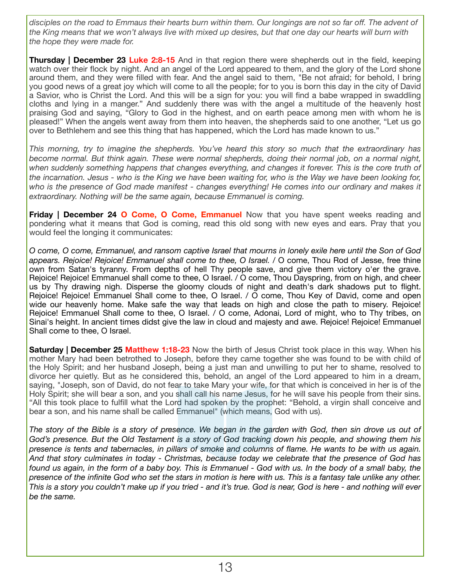*disciples on the road to Emmaus their hearts burn within them. Our longings are not so far off. The advent of the King means that we won't always live with mixed up desires, but that one day our hearts will burn with the hope they were made for.*

**Thursday | December 23 Luke 2:8-15** And in that region there were shepherds out in the field, keeping watch over their flock by night. And an angel of the Lord appeared to them, and the glory of the Lord shone around them, and they were filled with fear. And the angel said to them, "Be not afraid; for behold, I bring you good news of a great joy which will come to all the people; for to you is born this day in the city of David a Savior, who is Christ the Lord. And this will be a sign for you: you will find a babe wrapped in swaddling cloths and lying in a manger." And suddenly there was with the angel a multitude of the heavenly host praising God and saying, "Glory to God in the highest, and on earth peace among men with whom he is pleased!" When the angels went away from them into heaven, the shepherds said to one another, "Let us go over to Bethlehem and see this thing that has happened, which the Lord has made known to us."

*This morning, try to imagine the shepherds. You've heard this story so much that the extraordinary has become normal. But think again. These were normal shepherds, doing their normal job, on a normal night, when suddenly something happens that changes everything, and changes it forever. This is the core truth of the incarnation. Jesus - who is the King we have been waiting for, who is the Way we have been looking for, who is the presence of God made manifest - changes everything! He comes into our ordinary and makes it extraordinary. Nothing will be the same again, because Emmanuel is coming.*

**Friday | December 24 O Come, O Come, Emmanuel** Now that you have spent weeks reading and pondering what it means that God is coming, read this old song with new eyes and ears. Pray that you would feel the longing it communicates:

*O come, O come, Emmanuel, and ransom captive Israel that mourns in lonely exile here until the Son of God appears. Rejoice! Rejoice! Emmanuel shall come to thee, O Israel. /* O come, Thou Rod of Jesse, free thine own from Satan's tyranny. From depths of hell Thy people save, and give them victory o'er the grave. Rejoice! Rejoice! Emmanuel shall come to thee, O Israel. / O come, Thou Dayspring, from on high, and cheer us by Thy drawing nigh. Disperse the gloomy clouds of night and death's dark shadows put to flight. Rejoice! Rejoice! Emmanuel Shall come to thee, O Israel. / O come, Thou Key of David, come and open wide our heavenly home. Make safe the way that leads on high and close the path to misery. Rejoice! Rejoice! Emmanuel Shall come to thee, O Israel. / O come, Adonai, Lord of might, who to Thy tribes, on Sinai's height. In ancient times didst give the law in cloud and majesty and awe. Rejoice! Rejoice! Emmanuel Shall come to thee, O Israel.

**Saturday | December 25 Matthew 1:18-23** Now the birth of Jesus Christ took place in this way. When his mother Mary had been betrothed to Joseph, before they came together she was found to be with child of the Holy Spirit; and her husband Joseph, being a just man and unwilling to put her to shame, resolved to divorce her quietly. But as he considered this, behold, an angel of the Lord appeared to him in a dream, saying, "Joseph, son of David, do not fear to take Mary your wife, for that which is conceived in her is of the Holy Spirit; she will bear a son, and you shall call his name Jesus, for he will save his people from their sins. "All this took place to fulfill what the Lord had spoken by the prophet: "Behold, a virgin shall conceive and bear a son, and his name shall be called Emmanuel" (which means, God with us).

*The story of the Bible is a story of presence. We began in the garden with God, then sin drove us out of God's presence. But the Old Testament is a story of God tracking down his people, and showing them his presence is tents and tabernacles, in pillars of smoke and columns of flame. He wants to be with us again. And that story culminates in today - Christmas, because today we celebrate that the presence of God has found us again, in the form of a baby boy. This is Emmanuel - God with us. In the body of a small baby, the presence of the infinite God who set the stars in motion is here with us. This is a fantasy tale unlike any other. This is a story you couldn't make up if you tried - and it's true. God is near, God is here - and nothing will ever be the same.*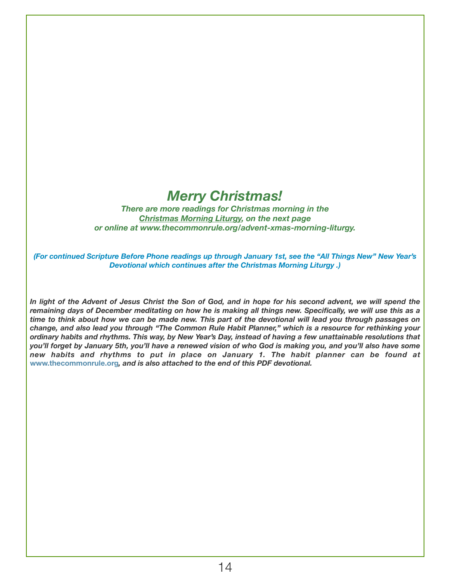# *Merry Christmas!*

*There are more readings for Christmas morning in the Christmas Morning Liturgy, on the next page or online at www.thecommonrule.org/advent-xmas-morning-liturgy.* 

*(For continued Scripture Before Phone readings up through January 1st, see the "All Things New" New Year's Devotional which continues after the Christmas Morning Liturgy .)* 

In light of the Advent of Jesus Christ the Son of God, and in hope for his second advent, we will spend the *remaining days of December meditating on how he is making all things new. Specifically, we will use this as a time to think about how we can be made new. This part of the devotional will lead you through passages on change, and also lead you through "The Common Rule Habit Planner," which is a resource for rethinking your ordinary habits and rhythms. This way, by New Year's Day, instead of having a few unattainable resolutions that you'll forget by January 5th, you'll have a renewed vision of who God is making you, and you'll also have some new habits and rhythms to put in place on January 1. The habit planner can be found at*  **www.thecommonrule.org***, and is also attached to the end of this PDF devotional.*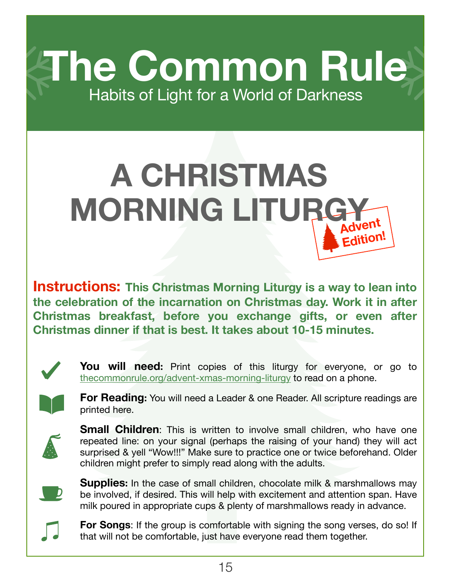**The Common Rule** Habits of Light for a World of Darkness

# **Advent Edition! A CHRISTMAS MORNING LITURGY**

**Instructions: This Christmas Morning Liturgy is a way to lean into the celebration of the incarnation on Christmas day. Work it in after Christmas breakfast, before you exchange gifts, or even after Christmas dinner if that is best. It takes about 10-15 minutes.**



**You will need:** Print copies of this liturgy for everyone, or go to [thecommonrule.org/advent-xmas-morning-liturgy](https://www.thecommonrule.org/advent-xmas-morning-liturgy) to read on a phone.



**For Reading:** You will need a Leader & one Reader. All scripture readings are printed here.



**Small Children**: This is written to involve small children, who have one repeated line: on your signal (perhaps the raising of your hand) they will act surprised & yell "Wow!!!" Make sure to practice one or twice beforehand. Older children might prefer to simply read along with the adults.



**Supplies:** In the case of small children, chocolate milk & marshmallows may be involved, if desired. This will help with excitement and attention span. Have milk poured in appropriate cups & plenty of marshmallows ready in advance.



**For Songs:** If the group is comfortable with signing the song verses, do so! If that will not be comfortable, just have everyone read them together.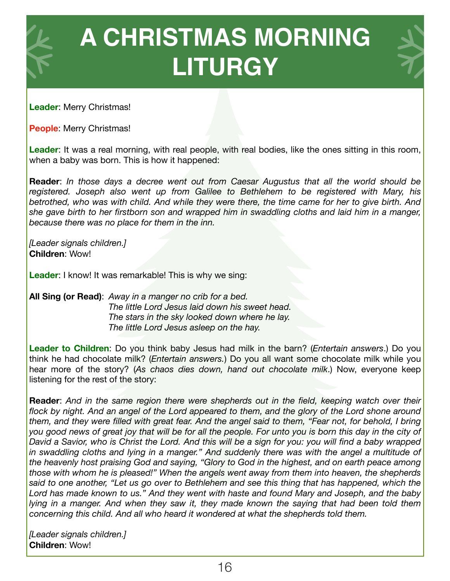

**Leader**: Merry Christmas!

**People**: Merry Christmas!

Leader: It was a real morning, with real people, with real bodies, like the ones sitting in this room, when a baby was born. This is how it happened:

**Reader**: *In those days a decree went out from Caesar Augustus that all the world should be registered. Joseph also went up from Galilee to Bethlehem to be registered with Mary, his betrothed, who was with child. And while they were there, the time came for her to give birth. And she gave birth to her firstborn son and wrapped him in swaddling cloths and laid him in a manger, because there was no place for them in the inn.* 

*[Leader signals children.]* **Children**: Wow!

**Leader:** I know! It was remarkable! This is why we sing:

**All Sing (or Read)**: *Away in a manger no crib for a bed. The little Lord Jesus laid down his sweet head. The stars in the sky looked down where he lay. The little Lord Jesus asleep on the hay.* 

**Leader to Children**: Do you think baby Jesus had milk in the barn? (*Entertain answers*.) Do you think he had chocolate milk? (*Entertain answers.*) Do you all want some chocolate milk while you hear more of the story? (*As chaos dies down, hand out chocolate milk*.) Now, everyone keep listening for the rest of the story:

**Reader**: *And in the same region there were shepherds out in the field, keeping watch over their*  flock by night. And an angel of the Lord appeared to them, and the glory of the Lord shone around *them, and they were filled with great fear. And the angel said to them, "Fear not, for behold, I bring you good news of great joy that will be for all the people. For unto you is born this day in the city of David a Savior, who is Christ the Lord. And this will be a sign for you: you will find a baby wrapped in swaddling cloths and lying in a manger." And suddenly there was with the angel a multitude of the heavenly host praising God and saying, "Glory to God in the highest, and on earth peace among those with whom he is pleased!" When the angels went away from them into heaven, the shepherds said to one another, "Let us go over to Bethlehem and see this thing that has happened, which the Lord has made known to us." And they went with haste and found Mary and Joseph, and the baby lying in a manger. And when they saw it, they made known the saying that had been told them concerning this child. And all who heard it wondered at what the shepherds told them.*

*[Leader signals children.]*  **Children**: Wow!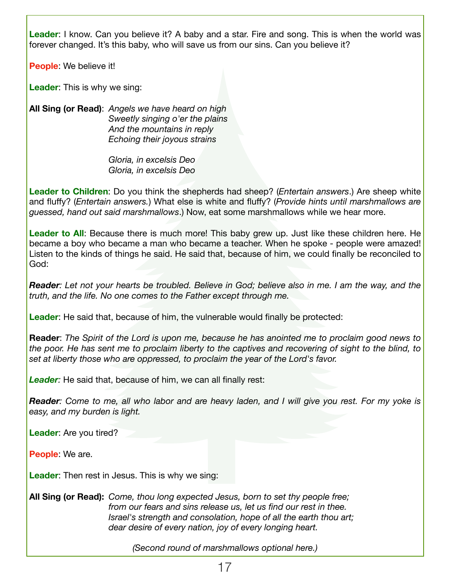**Leader**: I know. Can you believe it? A baby and a star. Fire and song. This is when the world was forever changed. It's this baby, who will save us from our sins. Can you believe it?

**People**: We believe it!

**Leader**: This is why we sing:

**All Sing (or Read)**: *Angels we have heard on high Sweetly singing o'er the plains And the mountains in reply Echoing their joyous strains* 

> *Gloria, in excelsis Deo Gloria, in excelsis Deo*

**Leader to Children**: Do you think the shepherds had sheep? (*Entertain answers*.) Are sheep white and fluffy? (*Entertain answers.*) What else is white and fluffy? (*Provide hints until marshmallows are guessed, hand out said marshmallows*.) Now, eat some marshmallows while we hear more.

**Leader to All**: Because there is much more! This baby grew up. Just like these children here. He became a boy who became a man who became a teacher. When he spoke - people were amazed! Listen to the kinds of things he said. He said that, because of him, we could finally be reconciled to God:

*Reader: Let not your hearts be troubled. Believe in God; believe also in me. I am the way, and the truth, and the life. No one comes to the Father except through me.* 

**Leader**: He said that, because of him, the vulnerable would finally be protected:

**Reader**: *The Spirit of the Lord is upon me, because he has anointed me to proclaim good news to the poor. He has sent me to proclaim liberty to the captives and recovering of sight to the blind, to set at liberty those who are oppressed, to proclaim the year of the Lord's favor.* 

Leader: He said that, because of him, we can all finally rest:

*Reader: Come to me, all who labor and are heavy laden, and I will give you rest. For my yoke is easy, and my burden is light.* 

**Leader**: Are you tired?

**People**: We are.

**Leader**: Then rest in Jesus. This is why we sing:

**All Sing (or Read):** *Come, thou long expected Jesus, born to set thy people free; from our fears and sins release us, let us find our rest in thee. Israel's strength and consolation, hope of all the earth thou art; dear desire of every nation, joy of every longing heart.* 

*(Second round of marshmallows optional here.)*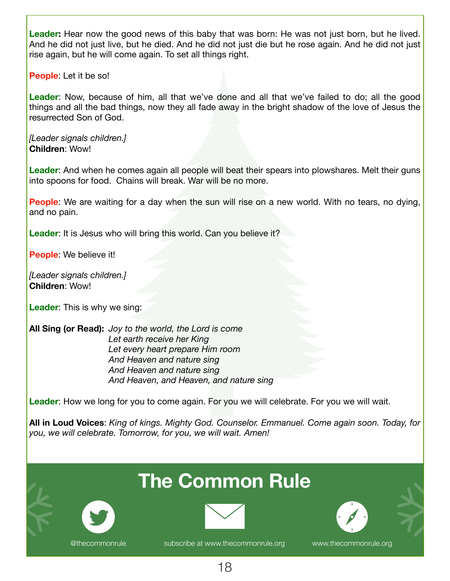**Leader:** Hear now the good news of this baby that was born: He was not just born, but he lived. And he did not just live, but he died. And he did not just die but he rose again. And he did not just rise again, but he will come again. To set all things right.

**People**: Let it be so!

**Leader**: Now, because of him, all that we've done and all that we've failed to do; all the good things and all the bad things, now they all fade away in the bright shadow of the love of Jesus the resurrected Son of God.

*[Leader signals children.]*  **Children**: Wow!

**Leader**: And when he comes again all people will beat their spears into plowshares. Melt their guns into spoons for food. Chains will break. War will be no more.

**People**: We are waiting for a day when the sun will rise on a new world. With no tears, no dying, and no pain.

**Leader**: It is Jesus who will bring this world. Can you believe it?

**People**: We believe it!

*[Leader signals children.]*  **Children**: Wow!

**Leader**: This is why we sing:

**All Sing (or Read):** *Joy to the world, the Lord is come Let earth receive her King Let every heart prepare Him room And Heaven and nature sing And Heaven and nature sing And Heaven, and Heaven, and nature sing* 

**Leader**: How we long for you to come again. For you we will celebrate. For you we will wait.

**All in Loud Voices**: *King of kings. Mighty God. Counselor. Emmanuel. Come again soon. Today, for you, we will celebrate. Tomorrow, for you, we will wait. Amen!*

# **The Common Rule**





[@thecommonrule](https://twitter.com/thecommonrule) [subscribe at www.thecommonrule.org](http://www.thecommonrule.org) [www.thecommonrule.org](http://www.thecommonrule.org)

18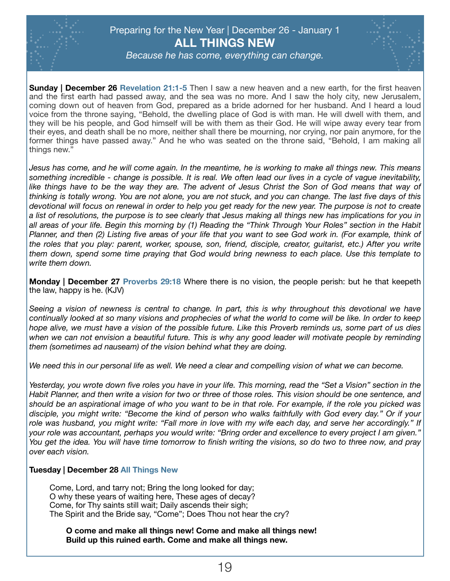

### Preparing for the New Year | December 26 - January 1 **ALL THINGS NEW**



*Because he has come, everything can change.* 

**Sunday | December 26 Revelation 21:1-5** Then I saw a new heaven and a new earth, for the first heaven and the first earth had passed away, and the sea was no more. And I saw the holy city, new Jerusalem, coming down out of heaven from God, prepared as a bride adorned for her husband. And I heard a loud voice from the throne saying, "Behold, the dwelling place of God is with man. He will dwell with them, and they will be his people, and God himself will be with them as their God. He will wipe away every tear from their eyes, and death shall be no more, neither shall there be mourning, nor crying, nor pain anymore, for the former things have passed away." And he who was seated on the throne said, "Behold, I am making all things new."

*Jesus has come, and he will come again. In the meantime, he is working to make all things new. This means something incredible - change is possible. It is real. We often lead our lives in a cycle of vague inevitability,*  like things have to be the way they are. The advent of Jesus Christ the Son of God means that way of *thinking is totally wrong. You are not alone, you are not stuck, and you can change. The last five days of this devotional will focus on renewal in order to help you get ready for the new year. The purpose is not to create a list of resolutions, the purpose is to see clearly that Jesus making all things new has implications for you in all areas of your life. Begin this morning by (1) Reading the "Think Through Your Roles" section in the Habit Planner, and then (2) Listing five areas of your life that you want to see God work in. (For example, think of the roles that you play: parent, worker, spouse, son, friend, disciple, creator, guitarist, etc.) After you write them down, spend some time praying that God would bring newness to each place. Use this template to write them down.*

**Monday | December 27 Proverbs 29:18** Where there is no vision, the people perish: but he that keepeth the law, happy is he. (KJV)

*Seeing a vision of newness is central to change. In part, this is why throughout this devotional we have continually looked at so many visions and prophecies of what the world to come will be like. In order to keep hope alive, we must have a vision of the possible future. Like this Proverb reminds us, some part of us dies*  when we can not envision a beautiful future. This is why any good leader will motivate people by reminding *them (sometimes ad nauseam) of the vision behind what they are doing.* 

*We need this in our personal life as well. We need a clear and compelling vision of what we can become.* 

*Yesterday, you wrote down five roles you have in your life. This morning, read the "Set a Vision" section in the Habit Planner, and then write a vision for two or three of those roles. This vision should be one sentence, and should be an aspirational image of who you want to be in that role. For example, if the role you picked was disciple, you might write: "Become the kind of person who walks faithfully with God every day." Or if your role was husband, you might write: "Fall more in love with my wife each day, and serve her accordingly." If your role was accountant, perhaps you would write: "Bring order and excellence to every project I am given." You get the idea. You will have time tomorrow to finish writing the visions, so do two to three now, and pray over each vision.* 

#### **Tuesday | December 28 All Things New**

Come, Lord, and tarry not; Bring the long looked for day; O why these years of waiting here, These ages of decay? Come, for Thy saints still wait; Daily ascends their sigh; The Spirit and the Bride say, "Come"; Does Thou not hear the cry?

**O come and make all things new! Come and make all things new! Build up this ruined earth. Come and make all things new.**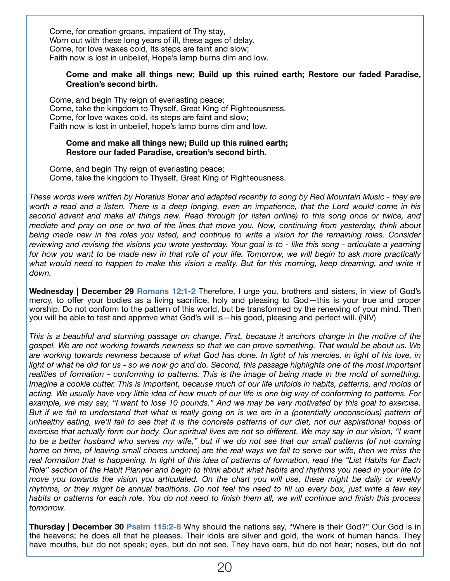Come, for creation groans, impatient of Thy stay, Worn out with these long years of ill, these ages of delay. Come, for love waxes cold, Its steps are faint and slow; Faith now is lost in unbelief, Hope's lamp burns dim and low.

#### **Come and make all things new; Build up this ruined earth; Restore our faded Paradise, Creation's second birth.**

Come, and begin Thy reign of everlasting peace; Come, take the kingdom to Thyself, Great King of Righteousness. Come, for love waxes cold, its steps are faint and slow; Faith now is lost in unbelief, hope's lamp burns dim and low.

#### **Come and make all things new; Build up this ruined earth; Restore our faded Paradise, creation's second birth.**

Come, and begin Thy reign of everlasting peace; Come, take the kingdom to Thyself, Great King of Righteousness.

*These words were written by Horatius Bonar and adapted recently to song by Red Mountain Music - they are worth a read and a listen. There is a deep longing, even an impatience, that the Lord would come in his second advent and make all things new. Read through (or listen online) to this song once or twice, and mediate and pray on one or two of the lines that move you. Now, continuing from yesterday, think about being made new in the roles you listed, and continue to write a vision for the remaining roles. Consider reviewing and revising the visions you wrote yesterday. Your goal is to - like this song - articulate a yearning for how you want to be made new in that role of your life. Tomorrow, we will begin to ask more practically what would need to happen to make this vision a reality. But for this morning, keep dreaming, and write it down.* 

**Wednesday | December 29 Romans 12:1-2** Therefore, I urge you, brothers and sisters, in view of God's mercy, to offer your bodies as a living sacrifice, holy and pleasing to God—this is your true and proper worship. Do not conform to the pattern of this world, but be transformed by the renewing of your mind. Then you will be able to test and approve what God's will is—his good, pleasing and perfect will. (NIV)

*This is a beautiful and stunning passage on change. First, because it anchors change in the motive of the gospel. We are not working towards newness so that we can prove something. That would be about us. We are working towards newness because of what God has done. In light of his mercies, in light of his love, in*  light of what he did for us - so we now go and do. Second, this passage highlights one of the most important *realities of formation - conforming to patterns. This is the image of being made in the mold of something. Imagine a cookie cutter. This is important, because much of our life unfolds in habits, patterns, and molds of acting. We usually have very little idea of how much of our life is one big way of conforming to patterns. For example, we may say, "I want to lose 10 pounds." And we may be very motivated by this goal to exercise. But if we fail to understand that what is really going on is we are in a (potentially unconscious) pattern of unhealthy eating, we'll fail to see that it is the concrete patterns of our diet, not our aspirational hopes of exercise that actually form our body. Our spiritual lives are not so different. We may say in our vision, "I want to be a better husband who serves my wife," but if we do not see that our small patterns (of not coming home on time, of leaving small chores undone) are the real ways we fail to serve our wife, then we miss the real formation that is happening. In light of this idea of patterns of formation, read the "List Habits for Each Role" section of the Habit Planner and begin to think about what habits and rhythms you need in your life to move you towards the vision you articulated. On the chart you will use, these might be daily or weekly rhythms, or they might be annual traditions. Do not feel the need to fill up every box, just write a few key habits or patterns for each role. You do not need to finish them all, we will continue and finish this process tomorrow.* 

**Thursday | December 30 Psalm 115:2-8** Why should the nations say, "Where is their God?" Our God is in the heavens; he does all that he pleases. Their idols are silver and gold, the work of human hands. They have mouths, but do not speak; eyes, but do not see. They have ears, but do not hear; noses, but do not